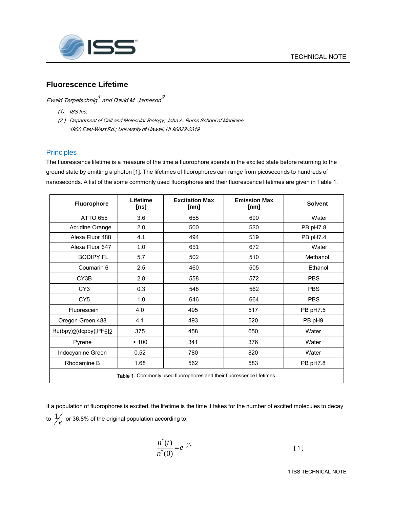

## **Fluorescence Lifetime**

Ewald Terpetschnig $^{\rm 1}$  and David M. Jameson $^{\rm 2}$ 

- $(1)$  ISS Inc.
- (2.) Department of Cell and Molecular Biology; John A. Burns School of Medicine 1960 East-West Rd.; University of Hawaii, HI 96822-2319

## **Principles**

The fluorescence lifetime is a measure of the time a fluorophore spends in the excited state before returning to the ground state by emitting a photon [1]. The lifetimes of fluorophores can range from picoseconds to hundreds of nanoseconds. A list of the some commonly used fluorophores and their fluorescence lifetimes are given in Table 1.

| <b>Fluorophore</b>                                                           | Lifetime<br>[ns] | <b>Excitation Max</b><br>[nm] | <b>Emission Max</b><br>[nm] | <b>Solvent</b> |  |  |
|------------------------------------------------------------------------------|------------------|-------------------------------|-----------------------------|----------------|--|--|
| <b>ATTO 655</b>                                                              | 3.6              | 655                           | 690                         | Water          |  |  |
| Acridine Orange                                                              | 2.0              | 500                           | 530                         | PB pH7.8       |  |  |
| Alexa Fluor 488                                                              | 4.1              | 494                           | 519                         | PB pH7.4       |  |  |
| Alexa Fluor 647                                                              | 1.0              | 651                           | 672                         | Water          |  |  |
| <b>BODIPY FL</b>                                                             | 5.7              | 502                           | 510                         | Methanol       |  |  |
| Coumarin 6                                                                   | 2.5              | 460                           | 505                         | Ethanol        |  |  |
| CY3B                                                                         | 2.8              | 558                           | 572                         | <b>PBS</b>     |  |  |
| CY <sub>3</sub>                                                              | 0.3              | 548                           | 562                         | <b>PBS</b>     |  |  |
| CY <sub>5</sub>                                                              | 1.0              | 646                           | 664                         | <b>PBS</b>     |  |  |
| Fluorescein                                                                  | 4.0              | 495                           | 517                         | PB pH7.5       |  |  |
| Oregon Green 488                                                             | 4.1              | 493                           | 520                         | PB pH9         |  |  |
| Ru(bpy)2(dcpby)[PF6]2                                                        | 375              | 458                           | 650                         | Water          |  |  |
| Pyrene                                                                       | >100             | 341                           | 376                         | Water          |  |  |
| Indocyanine Green                                                            | 0.52             | 780                           | 820                         | Water          |  |  |
| Rhodamine B                                                                  | 1.68             | 562                           | 583                         | PB pH7.8       |  |  |
| <b>Table 1.</b> Commonly used fluorophores and their fluorescence lifetimes. |                  |                               |                             |                |  |  |

If a population of fluorophores is excited, the lifetime is the time it takes for the number of excited molecules to decay

to  $\frac{1}{2}$  $_e^{\prime}$  or 36.8% of the original population according to:

$$
\frac{n^*(t)}{n^*(0)} = e^{-\frac{t}{\ell}} \tag{11}
$$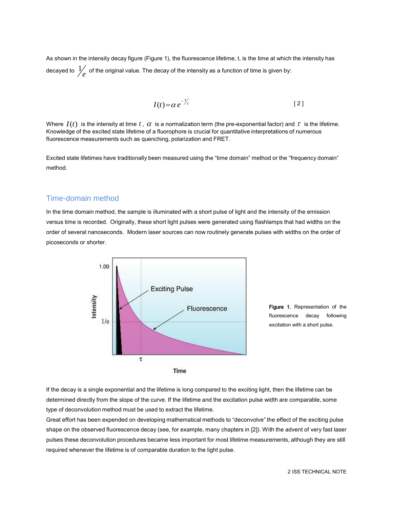As shown in the intensity decay figure (Figure 1), the fluorescence lifetime, t, is the time at which the intensity has decayed to  $\frac{1}{2}$  $_e^\prime$  of the original value. The decay of the intensity as a function of time is given by:<br> $e$ 

$$
I(t) = \alpha e^{-\frac{t}{\tau}}
$$

Where  $I(t)$  is the intensity at time  $t$  ,  $\alpha$  is a normalization term (the pre-exponential factor) and  $\tau$  is the lifetime. Knowledge of the excited state lifetime of a fluorophore is crucial for quantitative interpretations of numerous fluorescence measurements such as quenching, polarization and FRET.

Excited state lifetimes have traditionally been measured using the "time domain" method or the "frequency domain" method.

## Time-domain method

In the time domain method, the sample is illuminated with a short pulse of light and the intensity of the emission versus time is recorded. Originally, these short light pulses were generated using flashlamps that had widths on the order of several nanoseconds. Modern laser sources can now routinely generate pulses with widths on the order of picoseconds or shorter.





If the decay is a single exponential and the lifetime is long compared to the exciting light, then the lifetime can be determined directly from the slope of the curve. If the lifetime and the excitation pulse width are comparable, some type of deconvolution method must be used to extract the lifetime.

Great effort has been expended on developing mathematical methods to "deconvolve" the effect of the exciting pulse shape on the observed fluorescence decay (see, for example, many chapters in [2]). With the advent of very fast laser pulses these deconvolution procedures became less important for most lifetime measurements, although they are still required whenever the lifetime is of comparable duration to the light pulse.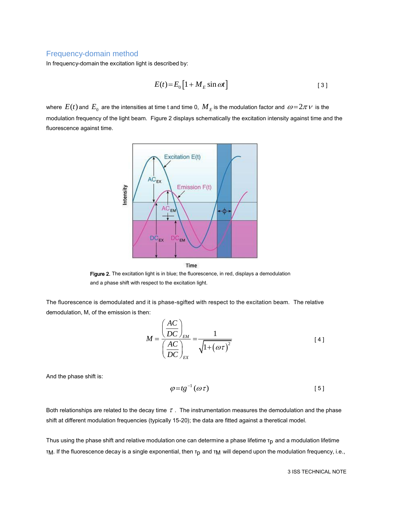#### Frequency-domain method

In frequency-domain the excitation light is described by:

$$
E(t) = E_0 \left[ 1 + M_E \sin \omega t \right]
$$
 [3]

where  $\,(t)$  and  $\,E_{_0}\,$  are the intensities at time t and time 0,  $\,M_{\,E}$  is the modulation factor and  $\,\omega\!=\!2\pi\nu\,$  is the modulation frequency of the light beam. Figure 2 displays schematically the excitation intensity against time and the fluorescence against time.



Figure 2. The excitation light is in blue; the fluorescence, in red, displays a demodulation and a phase shift with respect to the excitation light.

The fluorescence is demodulated and it is phase-sgifted with respect to the excitation beam. The relative demodulation, M, of the emission is then:

$$
M = \frac{\left(\frac{AC}{DC}\right)_{EM}}{\left(\frac{AC}{DC}\right)_{EX}} = \frac{1}{\sqrt{1 + \left(\omega \tau\right)^2}}
$$
 [4]

And the phase shift is:

$$
\varphi = t g^{-1} (\omega \tau) \tag{5}
$$

Both relationships are related to the decay time  $\tau$ . The instrumentation measures the demodulation and the phase shift at different modulation frequencies (typically 15-20); the data are fitted against a theretical model.

Thus using the phase shift and relative modulation one can determine a phase lifetime  $\tau_p$  and a modulation lifetime τ<sub>M</sub>. If the fluorescence decay is a single exponential, then τ<sub>p</sub> and τ<sub>M</sub> will depend upon the modulation frequency, i.e.,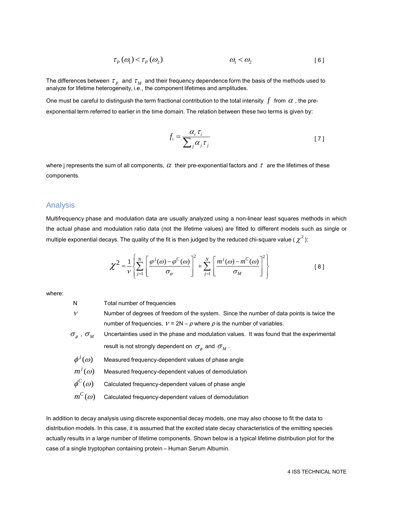$$
\tau_{P}(\omega_{1}) < \tau_{P}(\omega_{2}) \tag{6}
$$

The differences between  $\tau_{_P}$  and  $\tau_{_M}$  and their frequency dependence form the basis of the methods used to analyze for lifetime heterogeneity, i.e., the component lifetimes and amplitudes.

One must be careful to distinguish the term fractional contribution to the total intensity  $f$  from  $\alpha$  , the preexponential term referred to earlier in the time domain. The relation between these two terms is given by:

$$
f_i = \frac{\alpha_i \tau_i}{\sum_j \alpha_j \tau_j} \tag{7}
$$

where j represents the sum of all components,  $\alpha$  their pre-exponential factors and  $\tau$  are the lifetimes of these components.

#### Analysis

Multifrequency phase and modulation data are usually analyzed using a non-linear least squares methods in which the actual phase and modulation ratio data (not the lifetime values) are fitted to different models such as single or

multiple exponential decays. The quality of the fit is then judged by the reduced chi-square value (
$$
\chi^2
$$
):  
\n
$$
\chi^2 = \frac{1}{\nu} \left\{ \sum_{j=1}^{N} \left[ \frac{\varphi^j(\omega) - \varphi^C(\omega)}{\sigma_{\varphi}} \right]^2 + \sum_{j=1}^{N} \left[ \frac{m^j(\omega) - m^C(\omega)}{\sigma_M} \right]^2 \right\}
$$
 [8]

where:

| N                              | Total number of frequencies                                                               |
|--------------------------------|-------------------------------------------------------------------------------------------|
| $\mathcal V$                   | Number of degrees of freedom of the system. Since the number of data points is twice the  |
|                                | number of frequencies, $V = 2N - p$ where p is the number of variables.                   |
| $\sigma_{\phi}$ , $\sigma_{M}$ | Uncertainties used in the phase and modulation values. It was found that the experimental |
|                                | result is not strongly dependent on $\sigma_{\phi}$ and $\sigma_{M}$ .                    |
| $\phi^j(\omega)$               | Measured frequency-dependent values of phase angle                                        |
| $m^j(\omega)$                  | Measured frequency-dependent values of demodulation                                       |
| $\phi^C(\omega)$               | Calculated frequency-dependent values of phase angle                                      |
| $m^C(\omega)$                  | Calculated frequency-dependent values of demodulation                                     |

In addition to decay analysis using discrete exponential decay models, one may also choose to fit the data to distribution models. In this case, it is assumed that the excited state decay characteristics of the emitting species actually results in a large number of lifetime components. Shown below is a typical lifetime distribution plot for the case of a single tryptophan containing protein – Human Serum Albumin.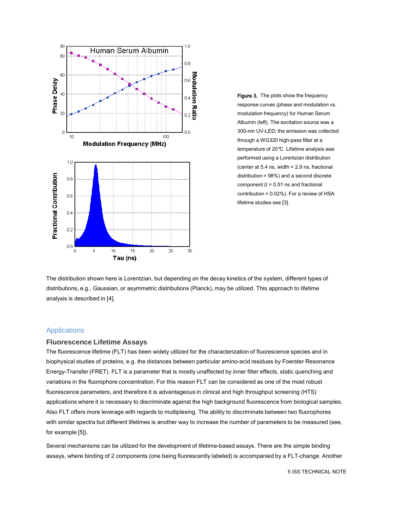

Figure 3. The plots show the frequency response curves (phase and modulation vs. modulation frequency) for Human Serum Albumin (left). The excitation source was a 300-nm UV-LED; the emission was collected through a WG320 high-pass filter at a temperature of 20°C. Lifetime analysis was performed using a Lorentzian distribution (center at 5.4 ns, width = 2.9 ns, fractional distribution = 98%) and a second discrete component ( $t = 0.51$  ns and fractional contribution = 0.02%). For a review of HSA lifetime studies see [3].

The distribution shown here is Lorentzian, but depending on the decay kinetics of the system, different types of distributions, e.g., Gaussian, or asymmetric distributions (Planck), may be utilized. This approach to lifetime analysis is described in [4].

#### **Applications**

#### **Fluorescence Lifetime Assays**

The fluorescence lifetime (FLT) has been widely utilized for the characterization of fluorescence species and in biophysical studies of proteins, e.g. the distances between particular amino-acid residues by Foerster Resonance Energy-Transfer (FRET). FLT is a parameter that is mostly unaffected by inner filter effects, static quenching and variations in the fluorophore concentration. For this reason FLT can be considered as one of the most robust fluorescence parameters, and therefore it is advantageous in clinical and high throughput screening (HTS) applications where it is necessary to discriminate against the high background fluorescence from biological samples. Also FLT offers more leverage with regards to multiplexing. The ability to discriminate between two fluorophores with similar spectra but different lifetimes is another way to increase the number of parameters to be measured (see, for example [5]).

Several mechanisms can be utilized for the development of lifetime-based assays. There are the simple binding assays, where binding of 2 components (one being fluorescently labeled) is accompanied by a FLT-change. Another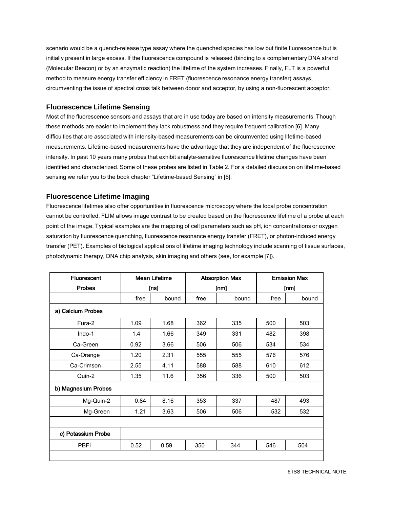scenario would be a quench-release type assay where the quenched species has low but finite fluorescence but is initially present in large excess. If the fluorescence compound is released (binding to a complementary DNA strand (Molecular Beacon) or by an enzymatic reaction) the lifetime of the system increases. Finally, FLT is a powerful method to measure energy transfer efficiency in FRET (fluorescence resonance energy transfer) assays, circumventing the issue of spectral cross talk between donor and acceptor, by using a non-fluorescent acceptor.

#### **Fluorescence Lifetime Sensing**

Most of the fluorescence sensors and assays that are in use today are based on intensity measurements. Though these methods are easier to implement they lack robustness and they require frequent calibration [6]. Many difficulties that are associated with intensity-based measurements can be circumvented using lifetime-based measurements. Lifetime-based measurements have the advantage that they are independent of the fluorescence intensity. In past 10 years many probes that exhibit analyte-sensitive fluorescence lifetime changes have been identified and characterized. Some of these probes are listed in Table 2. For a detailed discussion on lifetime-based sensing we refer you to the book chapter "Lifetime-based Sensing" in [6].

### **Fluorescence Lifetime Imaging**

Fluorescence lifetimes also offer opportunities in fluorescence microscopy where the local probe concentration cannot be controlled. FLIM allows image contrast to be created based on the fluorescence lifetime of a probe at each point of the image. Typical examples are the mapping of cell parameters such as pH, ion concentrations or oxygen saturation by fluorescence quenching, fluorescence resonance energy transfer (FRET), or photon-induced energy transfer (PET). Examples of biological applications of lifetime imaging technology include scanning of tissue surfaces, photodynamic therapy, DNA chip analysis, skin imaging and others (see, for example [7]).

| <b>Fluorescent</b>  | <b>Mean Lifetime</b> |       | <b>Absorption Max</b> |       | <b>Emission Max</b> |       |
|---------------------|----------------------|-------|-----------------------|-------|---------------------|-------|
| <b>Probes</b>       | [ns]                 |       | [nm]                  |       | [nm]                |       |
|                     | free                 | bound | free                  | bound | free                | bound |
| a) Calcium Probes   |                      |       |                       |       |                     |       |
| Fura-2              | 1.09                 | 1.68  | 362                   | 335   | 500                 | 503   |
| Indo-1              | 1.4                  | 1.66  | 349                   | 331   | 482                 | 398   |
| Ca-Green            | 0.92                 | 3.66  | 506                   | 506   | 534                 | 534   |
| Ca-Orange           | 1.20                 | 2.31  | 555                   | 555   | 576                 | 576   |
| Ca-Crimson          | 2.55                 | 4.11  | 588                   | 588   | 610                 | 612   |
| Quin-2              | 1.35                 | 11.6  | 356                   | 336   | 500                 | 503   |
| b) Magnesium Probes |                      |       |                       |       |                     |       |
| Mg-Quin-2           | 0.84                 | 8.16  | 353                   | 337   | 487                 | 493   |
| Mg-Green            | 1.21                 | 3.63  | 506                   | 506   | 532                 | 532   |
|                     |                      |       |                       |       |                     |       |
| c) Potassium Probe  |                      |       |                       |       |                     |       |
| <b>PBFI</b>         | 0.52                 | 0.59  | 350                   | 344   | 546                 | 504   |
|                     |                      |       |                       |       |                     |       |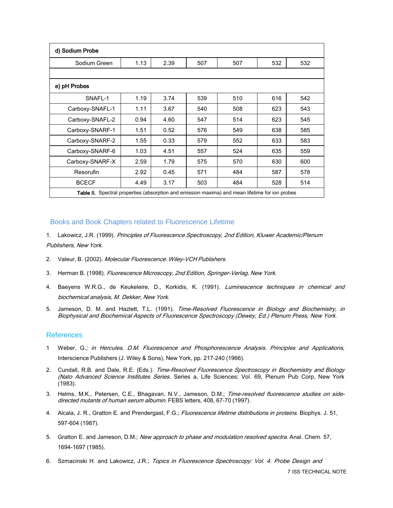| d) Sodium Probe                                                                                 |      |      |     |     |     |     |
|-------------------------------------------------------------------------------------------------|------|------|-----|-----|-----|-----|
| Sodium Green                                                                                    | 1.13 | 2.39 | 507 | 507 | 532 | 532 |
|                                                                                                 |      |      |     |     |     |     |
| e) pH Probes                                                                                    |      |      |     |     |     |     |
| SNAFL-1                                                                                         | 1.19 | 3.74 | 539 | 510 | 616 | 542 |
| Carboxy-SNAFL-1                                                                                 | 1.11 | 3.67 | 540 | 508 | 623 | 543 |
| Carboxy-SNAFL-2                                                                                 | 0.94 | 4.60 | 547 | 514 | 623 | 545 |
| Carboxy-SNARF-1                                                                                 | 1.51 | 0.52 | 576 | 549 | 638 | 585 |
| Carboxy-SNARF-2                                                                                 | 1.55 | 0.33 | 579 | 552 | 633 | 583 |
| Carboxy-SNARF-6                                                                                 | 1.03 | 4.51 | 557 | 524 | 635 | 559 |
| Carboxy-SNARF-X                                                                                 | 2.59 | 1.79 | 575 | 570 | 630 | 600 |
| Resorufin                                                                                       | 2.92 | 0.45 | 571 | 484 | 587 | 578 |
| <b>BCECF</b>                                                                                    | 4.49 | 3.17 | 503 | 484 | 528 | 514 |
| Table II. Spectral properties (absorption and emission maxima) and mean lifetime for ion probes |      |      |     |     |     |     |

#### Books and Book Chapters related to Fluorescence Lifetime

- 1. Lakowicz, J.R. (1999). Principles of Fluorescence Spectroscopy, 2nd Edition, Kluwer Academic/Plenum Publishers, New York.
- 2. Valeur, B. (2002). Molecular Fluorescence. Wiley-VCH Publishers.
- 3. Herman B. (1998). Fluorescence Microscopy, 2nd Edition, Springer-Verlag, New York.
- 4. Baeyens W.R.G., de Keukeleire, D., Korkidis, K. (1991). Luminescence techniques in chemical and biochemical analysis, M. Dekker, New York.
- 5. Jameson, D. M. and Hazlett, T.L. (1991). Time-Resolved Fluorescence in Biology and Biochemistry, in Biophysical and Biochemical Aspects of Fluorescence Spectroscopy (Dewey, Ed.) Plenum Press, New York.

#### References

- 1 Weber, G.; in Hercules, D.M. Fluorescence and Phosphorescence Analysis. Principles and Applications, Interscience Publishers (J. Wiley & Sons), New York, pp. 217-240 (1966).
- 2. Cundall, R.B. and Dale, R.E. (Eds.). Time-Resolved Fluorescence Spectroscopy in Biochemistry and Biology (Nato Advanced Science Institutes Series. Series a, Life Sciences; Vol. 69, Plenum Pub Corp, New York (1983).
- 3. Helms, M.K., Petersen, C.E., Bhagavan, N.V., Jameson, D.M.; Time-resolved fluorescence studies on sidedirected mutants of human serum albumin. FEBS letters, 408, 67-70 (1997).
- 4. Alcala, J. R., Gratton E. and Prendergast, F.G.; Fluorescence lifetime distributions in proteins. Biophys. J. 51, 597-604 (1987).
- 5. Gratton E. and Jameson, D.M.; New approach to phase and modulation resolved spectra. Anal. Chem. 57, 1694-1697 (1985).
- 6. Szmacinski H. and Lakowicz, J.R.; Topics in Fluorescence Spectroscopy: Vol. 4. Probe Design and